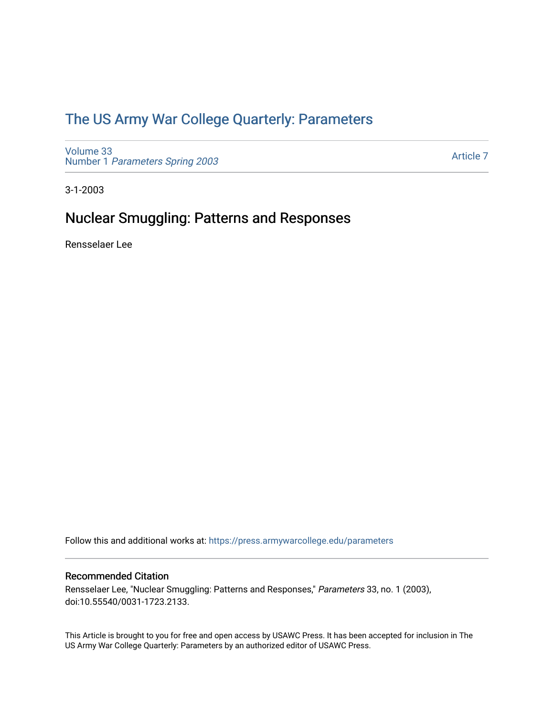## [The US Army War College Quarterly: Parameters](https://press.armywarcollege.edu/parameters)

[Volume 33](https://press.armywarcollege.edu/parameters/vol33) Number 1 [Parameters Spring 2003](https://press.armywarcollege.edu/parameters/vol33/iss1) 

[Article 7](https://press.armywarcollege.edu/parameters/vol33/iss1/7) 

3-1-2003

## Nuclear Smuggling: Patterns and Responses

Rensselaer Lee

Follow this and additional works at: [https://press.armywarcollege.edu/parameters](https://press.armywarcollege.edu/parameters?utm_source=press.armywarcollege.edu%2Fparameters%2Fvol33%2Fiss1%2F7&utm_medium=PDF&utm_campaign=PDFCoverPages) 

#### Recommended Citation

Rensselaer Lee, "Nuclear Smuggling: Patterns and Responses," Parameters 33, no. 1 (2003), doi:10.55540/0031-1723.2133.

This Article is brought to you for free and open access by USAWC Press. It has been accepted for inclusion in The US Army War College Quarterly: Parameters by an authorized editor of USAWC Press.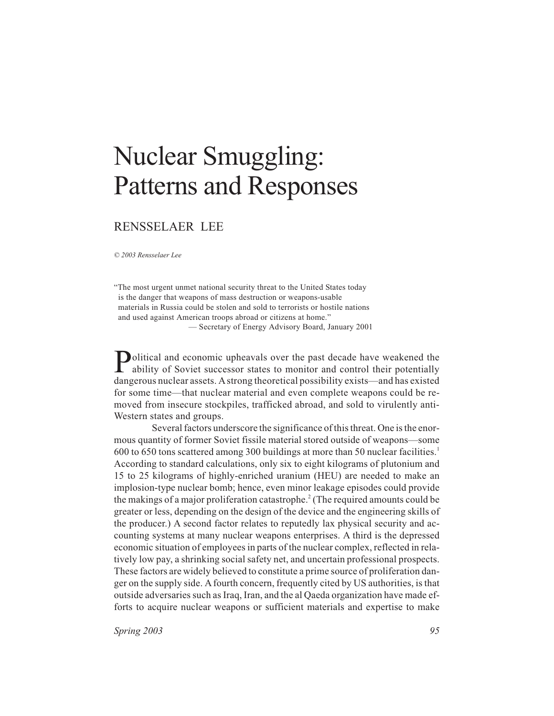# Nuclear Smuggling: Patterns and Responses

### RENSSELAER LEE

*© 2003 Rensselaer Lee*

"The most urgent unmet national security threat to the United States today is the danger that weapons of mass destruction or weapons-usable materials in Russia could be stolen and sold to terrorists or hostile nations and used against American troops abroad or citizens at home." — Secretary of Energy Advisory Board, January 2001

**Political and economic upheavals over the past decade have weakened the ability of Soviet successor states to monitor and control their potentially** ability of Soviet successor states to monitor and control their potentially dangerous nuclear assets. Astrong theoretical possibility exists—and has existed for some time—that nuclear material and even complete weapons could be removed from insecure stockpiles, trafficked abroad, and sold to virulently anti-Western states and groups.

Several factors underscore the significance of this threat. One is the enormous quantity of former Soviet fissile material stored outside of weapons—some 600 to 650 tons scattered among 300 buildings at more than 50 nuclear facilities.1 According to standard calculations, only six to eight kilograms of plutonium and 15 to 25 kilograms of highly-enriched uranium (HEU) are needed to make an implosion-type nuclear bomb; hence, even minor leakage episodes could provide the makings of a major proliferation catastrophe.<sup>2</sup> (The required amounts could be greater or less, depending on the design of the device and the engineering skills of the producer.) A second factor relates to reputedly lax physical security and accounting systems at many nuclear weapons enterprises. A third is the depressed economic situation of employees in parts of the nuclear complex, reflected in relatively low pay, a shrinking social safety net, and uncertain professional prospects. These factors are widely believed to constitute a prime source of proliferation danger on the supply side. A fourth concern, frequently cited by US authorities, is that outside adversaries such as Iraq, Iran, and the al Qaeda organization have made efforts to acquire nuclear weapons or sufficient materials and expertise to make

*Spring 2003* 95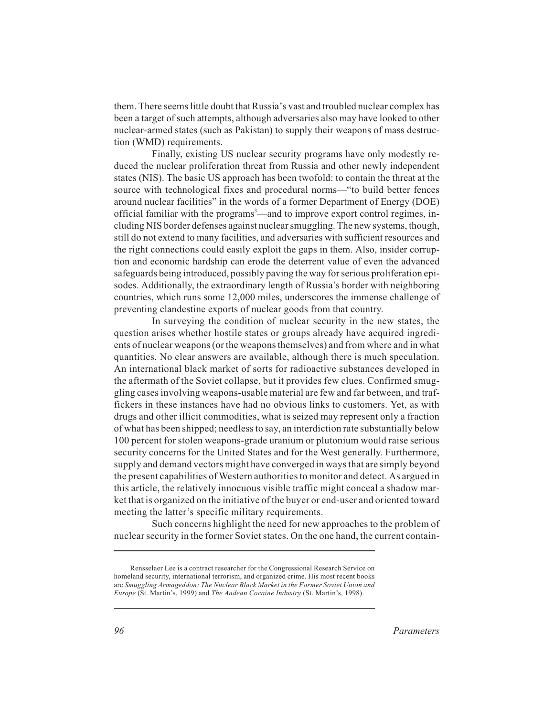them. There seems little doubt that Russia's vast and troubled nuclear complex has been a target of such attempts, although adversaries also may have looked to other nuclear-armed states (such as Pakistan) to supply their weapons of mass destruction (WMD) requirements.

Finally, existing US nuclear security programs have only modestly reduced the nuclear proliferation threat from Russia and other newly independent states (NIS). The basic US approach has been twofold: to contain the threat at the source with technological fixes and procedural norms—"to build better fences around nuclear facilities" in the words of a former Department of Energy (DOE) official familiar with the programs<sup>3</sup>—and to improve export control regimes, including NIS border defenses against nuclear smuggling. The new systems, though, still do not extend to many facilities, and adversaries with sufficient resources and the right connections could easily exploit the gaps in them. Also, insider corruption and economic hardship can erode the deterrent value of even the advanced safeguards being introduced, possibly paving the way for serious proliferation episodes. Additionally, the extraordinary length of Russia's border with neighboring countries, which runs some 12,000 miles, underscores the immense challenge of preventing clandestine exports of nuclear goods from that country.

In surveying the condition of nuclear security in the new states, the question arises whether hostile states or groups already have acquired ingredients of nuclear weapons (or the weapons themselves) and from where and in what quantities. No clear answers are available, although there is much speculation. An international black market of sorts for radioactive substances developed in the aftermath of the Soviet collapse, but it provides few clues. Confirmed smuggling cases involving weapons-usable material are few and far between, and traffickers in these instances have had no obvious links to customers. Yet, as with drugs and other illicit commodities, what is seized may represent only a fraction of what has been shipped; needless to say, an interdiction rate substantially below 100 percent for stolen weapons-grade uranium or plutonium would raise serious security concerns for the United States and for the West generally. Furthermore, supply and demand vectors might have converged in ways that are simply beyond the present capabilities of Western authorities to monitor and detect. As argued in this article, the relatively innocuous visible traffic might conceal a shadow market that is organized on the initiative of the buyer or end-user and oriented toward meeting the latter's specific military requirements.

Such concerns highlight the need for new approaches to the problem of nuclear security in the former Soviet states. On the one hand, the current contain-

Rensselaer Lee is a contract researcher for the Congressional Research Service on homeland security, international terrorism, and organized crime. His most recent books are *Smuggling Armageddon: The Nuclear Black Market in the Former Soviet Union and Europe* (St. Martin's, 1999) and *The Andean Cocaine Industry* (St. Martin's, 1998).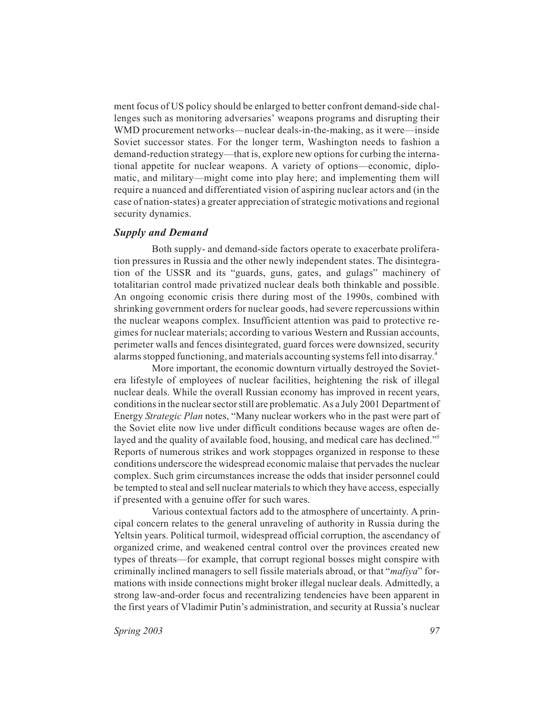ment focus of US policy should be enlarged to better confront demand-side challenges such as monitoring adversaries' weapons programs and disrupting their WMD procurement networks—nuclear deals-in-the-making, as it were—inside Soviet successor states. For the longer term, Washington needs to fashion a demand-reduction strategy—that is, explore new options for curbing the international appetite for nuclear weapons. A variety of options—economic, diplomatic, and military—might come into play here; and implementing them will require a nuanced and differentiated vision of aspiring nuclear actors and (in the case of nation-states) a greater appreciation of strategic motivations and regional security dynamics.

#### *Supply and Demand*

Both supply- and demand-side factors operate to exacerbate proliferation pressures in Russia and the other newly independent states. The disintegration of the USSR and its "guards, guns, gates, and gulags" machinery of totalitarian control made privatized nuclear deals both thinkable and possible. An ongoing economic crisis there during most of the 1990s, combined with shrinking government orders for nuclear goods, had severe repercussions within the nuclear weapons complex. Insufficient attention was paid to protective regimes for nuclear materials; according to various Western and Russian accounts, perimeter walls and fences disintegrated, guard forces were downsized, security alarms stopped functioning, and materials accounting systems fell into disarray.4

More important, the economic downturn virtually destroyed the Sovietera lifestyle of employees of nuclear facilities, heightening the risk of illegal nuclear deals. While the overall Russian economy has improved in recent years, conditions in the nuclear sector still are problematic. As a July 2001 Department of Energy *Strategic Plan* notes, "Many nuclear workers who in the past were part of the Soviet elite now live under difficult conditions because wages are often delayed and the quality of available food, housing, and medical care has declined."<sup>5</sup> Reports of numerous strikes and work stoppages organized in response to these conditions underscore the widespread economic malaise that pervades the nuclear complex. Such grim circumstances increase the odds that insider personnel could be tempted to steal and sell nuclear materials to which they have access, especially if presented with a genuine offer for such wares.

Various contextual factors add to the atmosphere of uncertainty. A principal concern relates to the general unraveling of authority in Russia during the Yeltsin years. Political turmoil, widespread official corruption, the ascendancy of organized crime, and weakened central control over the provinces created new types of threats—for example, that corrupt regional bosses might conspire with criminally inclined managers to sell fissile materials abroad, or that "*mafiya*" formations with inside connections might broker illegal nuclear deals. Admittedly, a strong law-and-order focus and recentralizing tendencies have been apparent in the first years of Vladimir Putin's administration, and security at Russia's nuclear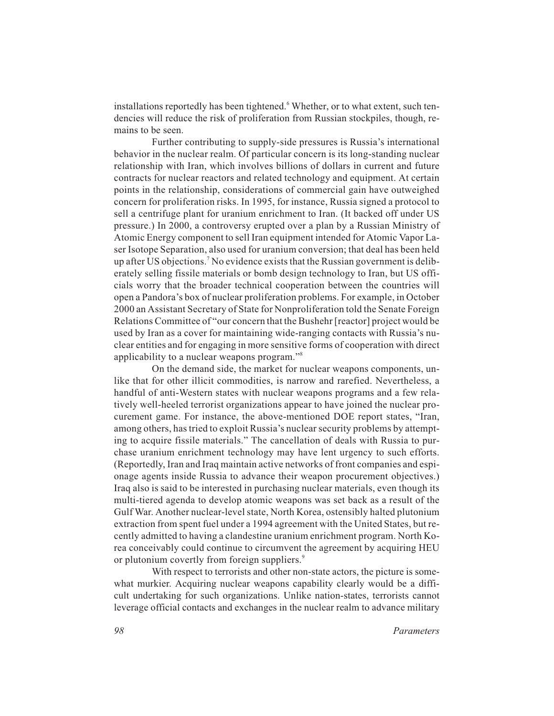installations reportedly has been tightened.<sup>6</sup> Whether, or to what extent, such tendencies will reduce the risk of proliferation from Russian stockpiles, though, remains to be seen.

Further contributing to supply-side pressures is Russia's international behavior in the nuclear realm. Of particular concern is its long-standing nuclear relationship with Iran, which involves billions of dollars in current and future contracts for nuclear reactors and related technology and equipment. At certain points in the relationship, considerations of commercial gain have outweighed concern for proliferation risks. In 1995, for instance, Russia signed a protocol to sell a centrifuge plant for uranium enrichment to Iran. (It backed off under US pressure.) In 2000, a controversy erupted over a plan by a Russian Ministry of Atomic Energy component to sell Iran equipment intended for Atomic Vapor Laser Isotope Separation, also used for uranium conversion; that deal has been held up after US objections.<sup>7</sup> No evidence exists that the Russian government is deliberately selling fissile materials or bomb design technology to Iran, but US officials worry that the broader technical cooperation between the countries will open a Pandora's box of nuclear proliferation problems. For example, in October 2000 an Assistant Secretary of State for Nonproliferation told the Senate Foreign Relations Committee of "our concern that the Bushehr [reactor] project would be used by Iran as a cover for maintaining wide-ranging contacts with Russia's nuclear entities and for engaging in more sensitive forms of cooperation with direct applicability to a nuclear weapons program."8

On the demand side, the market for nuclear weapons components, unlike that for other illicit commodities, is narrow and rarefied. Nevertheless, a handful of anti-Western states with nuclear weapons programs and a few relatively well-heeled terrorist organizations appear to have joined the nuclear procurement game. For instance, the above-mentioned DOE report states, "Iran, among others, has tried to exploit Russia's nuclear security problems by attempting to acquire fissile materials." The cancellation of deals with Russia to purchase uranium enrichment technology may have lent urgency to such efforts. (Reportedly, Iran and Iraq maintain active networks of front companies and espionage agents inside Russia to advance their weapon procurement objectives.) Iraq also is said to be interested in purchasing nuclear materials, even though its multi-tiered agenda to develop atomic weapons was set back as a result of the Gulf War. Another nuclear-level state, North Korea, ostensibly halted plutonium extraction from spent fuel under a 1994 agreement with the United States, but recently admitted to having a clandestine uranium enrichment program. North Korea conceivably could continue to circumvent the agreement by acquiring HEU or plutonium covertly from foreign suppliers.<sup>9</sup>

With respect to terrorists and other non-state actors, the picture is somewhat murkier. Acquiring nuclear weapons capability clearly would be a difficult undertaking for such organizations. Unlike nation-states, terrorists cannot leverage official contacts and exchanges in the nuclear realm to advance military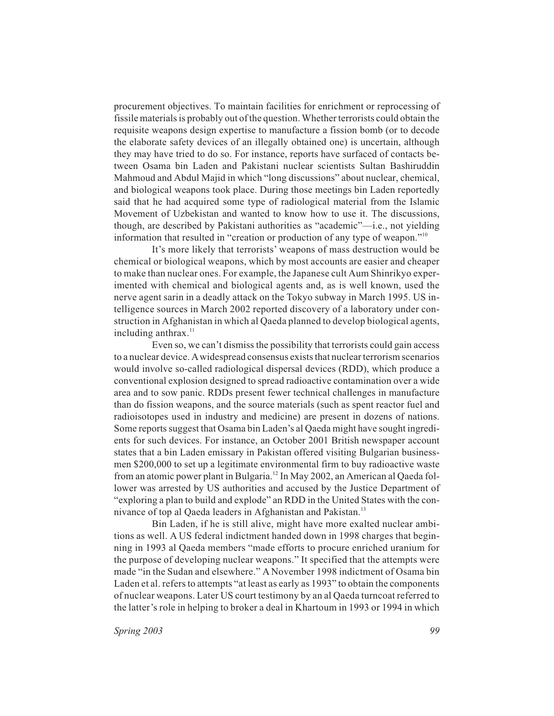procurement objectives. To maintain facilities for enrichment or reprocessing of fissile materials is probably out of the question. Whether terrorists could obtain the requisite weapons design expertise to manufacture a fission bomb (or to decode the elaborate safety devices of an illegally obtained one) is uncertain, although they may have tried to do so. For instance, reports have surfaced of contacts between Osama bin Laden and Pakistani nuclear scientists Sultan Bashiruddin Mahmoud and Abdul Majid in which "long discussions" about nuclear, chemical, and biological weapons took place. During those meetings bin Laden reportedly said that he had acquired some type of radiological material from the Islamic Movement of Uzbekistan and wanted to know how to use it. The discussions, though, are described by Pakistani authorities as "academic"—i.e., not yielding information that resulted in "creation or production of any type of weapon."10

It's more likely that terrorists' weapons of mass destruction would be chemical or biological weapons, which by most accounts are easier and cheaper to make than nuclear ones. For example, the Japanese cult Aum Shinrikyo experimented with chemical and biological agents and, as is well known, used the nerve agent sarin in a deadly attack on the Tokyo subway in March 1995. US intelligence sources in March 2002 reported discovery of a laboratory under construction in Afghanistan in which al Qaeda planned to develop biological agents, including anthrax. $11$ 

Even so, we can't dismiss the possibility that terrorists could gain access to a nuclear device. Awidespread consensus exists that nuclear terrorism scenarios would involve so-called radiological dispersal devices (RDD), which produce a conventional explosion designed to spread radioactive contamination over a wide area and to sow panic. RDDs present fewer technical challenges in manufacture than do fission weapons, and the source materials (such as spent reactor fuel and radioisotopes used in industry and medicine) are present in dozens of nations. Some reports suggest that Osama bin Laden's al Qaeda might have sought ingredients for such devices. For instance, an October 2001 British newspaper account states that a bin Laden emissary in Pakistan offered visiting Bulgarian businessmen \$200,000 to set up a legitimate environmental firm to buy radioactive waste from an atomic power plant in Bulgaria.12 In May 2002, an American al Qaeda follower was arrested by US authorities and accused by the Justice Department of "exploring a plan to build and explode" an RDD in the United States with the connivance of top al Qaeda leaders in Afghanistan and Pakistan.<sup>13</sup>

Bin Laden, if he is still alive, might have more exalted nuclear ambitions as well. A US federal indictment handed down in 1998 charges that beginning in 1993 al Qaeda members "made efforts to procure enriched uranium for the purpose of developing nuclear weapons." It specified that the attempts were made "in the Sudan and elsewhere." A November 1998 indictment of Osama bin Laden et al. refers to attempts "at least as early as 1993" to obtain the components of nuclear weapons. Later US court testimony by an al Qaeda turncoat referred to the latter's role in helping to broker a deal in Khartoum in 1993 or 1994 in which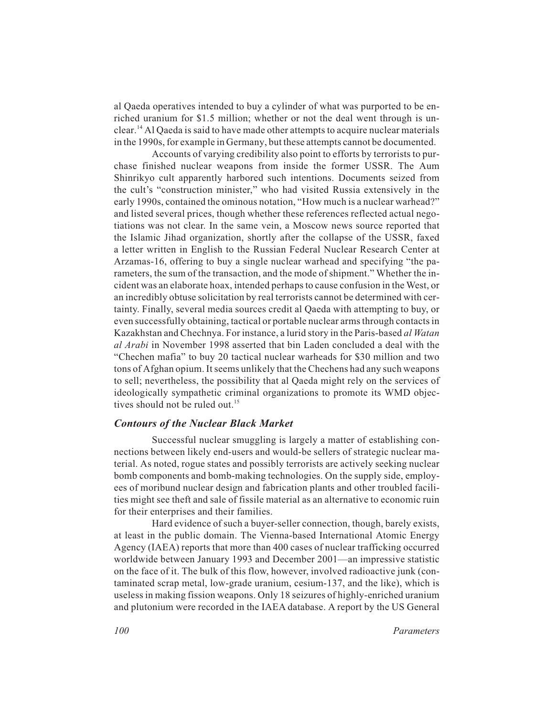al Qaeda operatives intended to buy a cylinder of what was purported to be enriched uranium for \$1.5 million; whether or not the deal went through is unclear.14 Al Qaeda is said to have made other attempts to acquire nuclear materials in the 1990s, for example in Germany, but these attempts cannot be documented.

Accounts of varying credibility also point to efforts by terrorists to purchase finished nuclear weapons from inside the former USSR. The Aum Shinrikyo cult apparently harbored such intentions. Documents seized from the cult's "construction minister," who had visited Russia extensively in the early 1990s, contained the ominous notation, "How much is a nuclear warhead?" and listed several prices, though whether these references reflected actual negotiations was not clear. In the same vein, a Moscow news source reported that the Islamic Jihad organization, shortly after the collapse of the USSR, faxed a letter written in English to the Russian Federal Nuclear Research Center at Arzamas-16, offering to buy a single nuclear warhead and specifying "the parameters, the sum of the transaction, and the mode of shipment." Whether the incident was an elaborate hoax, intended perhaps to cause confusion in the West, or an incredibly obtuse solicitation by real terrorists cannot be determined with certainty. Finally, several media sources credit al Qaeda with attempting to buy, or even successfully obtaining, tactical or portable nuclear arms through contacts in Kazakhstan and Chechnya. For instance, a lurid story in the Paris-based *al Watan al Arabi* in November 1998 asserted that bin Laden concluded a deal with the "Chechen mafia" to buy 20 tactical nuclear warheads for \$30 million and two tons of Afghan opium. It seems unlikely that the Chechens had any such weapons to sell; nevertheless, the possibility that al Qaeda might rely on the services of ideologically sympathetic criminal organizations to promote its WMD objectives should not be ruled out.<sup>15</sup>

#### *Contours of the Nuclear Black Market*

Successful nuclear smuggling is largely a matter of establishing connections between likely end-users and would-be sellers of strategic nuclear material. As noted, rogue states and possibly terrorists are actively seeking nuclear bomb components and bomb-making technologies. On the supply side, employees of moribund nuclear design and fabrication plants and other troubled facilities might see theft and sale of fissile material as an alternative to economic ruin for their enterprises and their families.

Hard evidence of such a buyer-seller connection, though, barely exists, at least in the public domain. The Vienna-based International Atomic Energy Agency (IAEA) reports that more than 400 cases of nuclear trafficking occurred worldwide between January 1993 and December 2001—an impressive statistic on the face of it. The bulk of this flow, however, involved radioactive junk (contaminated scrap metal, low-grade uranium, cesium-137, and the like), which is useless in making fission weapons. Only 18 seizures of highly-enriched uranium and plutonium were recorded in the IAEA database. A report by the US General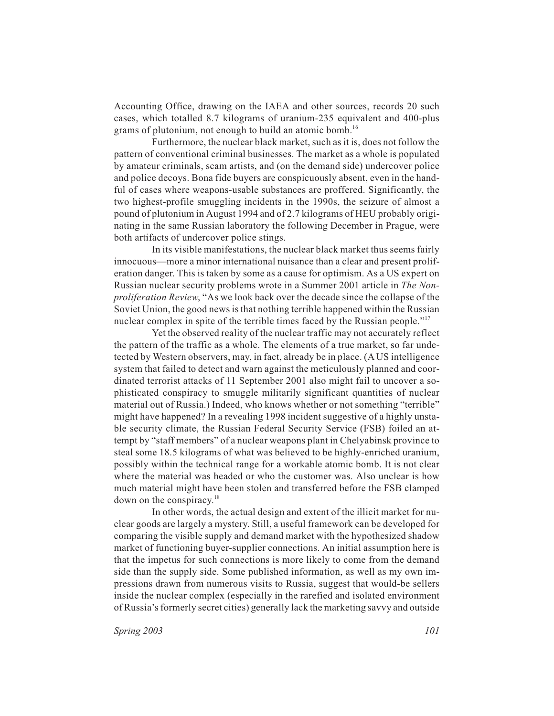Accounting Office, drawing on the IAEA and other sources, records 20 such cases, which totalled 8.7 kilograms of uranium-235 equivalent and 400-plus grams of plutonium, not enough to build an atomic bomb.<sup>16</sup>

Furthermore, the nuclear black market, such as it is, does not follow the pattern of conventional criminal businesses. The market as a whole is populated by amateur criminals, scam artists, and (on the demand side) undercover police and police decoys. Bona fide buyers are conspicuously absent, even in the handful of cases where weapons-usable substances are proffered. Significantly, the two highest-profile smuggling incidents in the 1990s, the seizure of almost a pound of plutonium in August 1994 and of 2.7 kilograms of HEU probably originating in the same Russian laboratory the following December in Prague, were both artifacts of undercover police stings.

In its visible manifestations, the nuclear black market thus seems fairly innocuous—more a minor international nuisance than a clear and present proliferation danger. This is taken by some as a cause for optimism. As a US expert on Russian nuclear security problems wrote in a Summer 2001 article in *The Nonproliferation Review*, "As we look back over the decade since the collapse of the Soviet Union, the good news is that nothing terrible happened within the Russian nuclear complex in spite of the terrible times faced by the Russian people."<sup>17</sup>

Yet the observed reality of the nuclear traffic may not accurately reflect the pattern of the traffic as a whole. The elements of a true market, so far undetected by Western observers, may, in fact, already be in place. (A US intelligence system that failed to detect and warn against the meticulously planned and coordinated terrorist attacks of 11 September 2001 also might fail to uncover a sophisticated conspiracy to smuggle militarily significant quantities of nuclear material out of Russia.) Indeed, who knows whether or not something "terrible" might have happened? In a revealing 1998 incident suggestive of a highly unstable security climate, the Russian Federal Security Service (FSB) foiled an attempt by "staff members" of a nuclear weapons plant in Chelyabinsk province to steal some 18.5 kilograms of what was believed to be highly-enriched uranium, possibly within the technical range for a workable atomic bomb. It is not clear where the material was headed or who the customer was. Also unclear is how much material might have been stolen and transferred before the FSB clamped down on the conspiracy. $18$ 

In other words, the actual design and extent of the illicit market for nuclear goods are largely a mystery. Still, a useful framework can be developed for comparing the visible supply and demand market with the hypothesized shadow market of functioning buyer-supplier connections. An initial assumption here is that the impetus for such connections is more likely to come from the demand side than the supply side. Some published information, as well as my own impressions drawn from numerous visits to Russia, suggest that would-be sellers inside the nuclear complex (especially in the rarefied and isolated environment of Russia's formerly secret cities) generally lack the marketing savvy and outside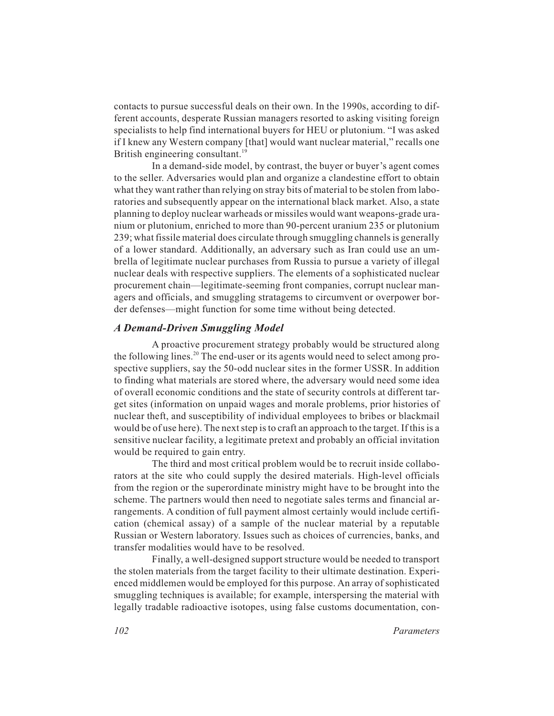contacts to pursue successful deals on their own. In the 1990s, according to different accounts, desperate Russian managers resorted to asking visiting foreign specialists to help find international buyers for HEU or plutonium. "I was asked if I knew any Western company [that] would want nuclear material," recalls one British engineering consultant.<sup>19</sup>

In a demand-side model, by contrast, the buyer or buyer's agent comes to the seller. Adversaries would plan and organize a clandestine effort to obtain what they want rather than relying on stray bits of material to be stolen from laboratories and subsequently appear on the international black market. Also, a state planning to deploy nuclear warheads or missiles would want weapons-grade uranium or plutonium, enriched to more than 90-percent uranium 235 or plutonium 239; what fissile material does circulate through smuggling channels is generally of a lower standard. Additionally, an adversary such as Iran could use an umbrella of legitimate nuclear purchases from Russia to pursue a variety of illegal nuclear deals with respective suppliers. The elements of a sophisticated nuclear procurement chain—legitimate-seeming front companies, corrupt nuclear managers and officials, and smuggling stratagems to circumvent or overpower border defenses—might function for some time without being detected.

#### *A Demand-Driven Smuggling Model*

A proactive procurement strategy probably would be structured along the following lines.<sup>20</sup> The end-user or its agents would need to select among prospective suppliers, say the 50-odd nuclear sites in the former USSR. In addition to finding what materials are stored where, the adversary would need some idea of overall economic conditions and the state of security controls at different target sites (information on unpaid wages and morale problems, prior histories of nuclear theft, and susceptibility of individual employees to bribes or blackmail would be of use here). The next step is to craft an approach to the target. If this is a sensitive nuclear facility, a legitimate pretext and probably an official invitation would be required to gain entry.

The third and most critical problem would be to recruit inside collaborators at the site who could supply the desired materials. High-level officials from the region or the superordinate ministry might have to be brought into the scheme. The partners would then need to negotiate sales terms and financial arrangements. A condition of full payment almost certainly would include certification (chemical assay) of a sample of the nuclear material by a reputable Russian or Western laboratory. Issues such as choices of currencies, banks, and transfer modalities would have to be resolved.

Finally, a well-designed support structure would be needed to transport the stolen materials from the target facility to their ultimate destination. Experienced middlemen would be employed for this purpose. An array of sophisticated smuggling techniques is available; for example, interspersing the material with legally tradable radioactive isotopes, using false customs documentation, con-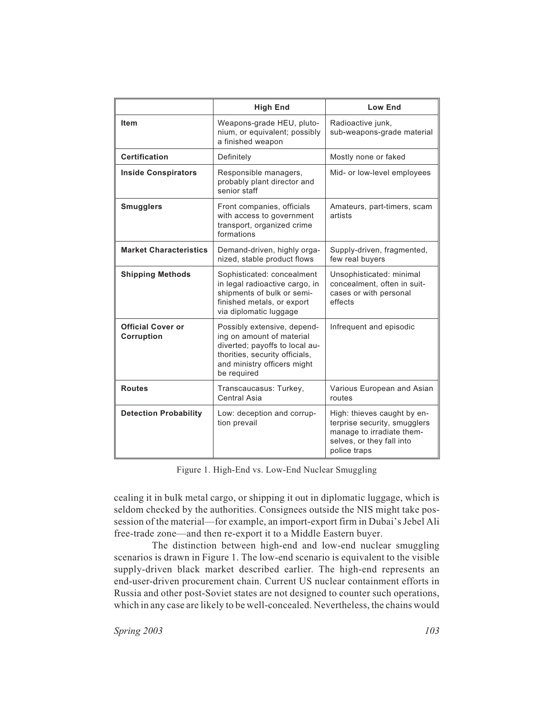|                                        | <b>High End</b>                                                                                                                                                            | <b>Low End</b>                                                                                                                        |
|----------------------------------------|----------------------------------------------------------------------------------------------------------------------------------------------------------------------------|---------------------------------------------------------------------------------------------------------------------------------------|
| <b>Item</b>                            | Weapons-grade HEU, pluto-<br>nium, or equivalent; possibly<br>a finished weapon                                                                                            | Radioactive junk,<br>sub-weapons-grade material                                                                                       |
| <b>Certification</b>                   | Definitely                                                                                                                                                                 | Mostly none or faked                                                                                                                  |
| <b>Inside Conspirators</b>             | Responsible managers,<br>probably plant director and<br>senior staff                                                                                                       | Mid- or low-level employees                                                                                                           |
| <b>Smugglers</b>                       | Front companies, officials<br>with access to government<br>transport, organized crime<br>formations                                                                        | Amateurs, part-timers, scam<br>artists                                                                                                |
| <b>Market Characteristics</b>          | Demand-driven, highly orga-<br>nized, stable product flows                                                                                                                 | Supply-driven, fragmented,<br>few real buyers                                                                                         |
| <b>Shipping Methods</b>                | Sophisticated: concealment<br>in legal radioactive cargo, in<br>shipments of bulk or semi-<br>finished metals, or export<br>via diplomatic luggage                         | Unsophisticated: minimal<br>concealment, often in suit-<br>cases or with personal<br>effects                                          |
| <b>Official Cover or</b><br>Corruption | Possibly extensive, depend-<br>ing on amount of material<br>diverted; payoffs to local au-<br>thorities, security officials,<br>and ministry officers might<br>be required | Infrequent and episodic                                                                                                               |
| <b>Routes</b>                          | Transcaucasus: Turkey,<br>Central Asia                                                                                                                                     | Various European and Asian<br>routes                                                                                                  |
| <b>Detection Probability</b>           | Low: deception and corrup-<br>tion prevail                                                                                                                                 | High: thieves caught by en-<br>terprise security, smugglers<br>manage to irradiate them-<br>selves, or they fall into<br>police traps |

Figure 1. High-End vs. Low-End Nuclear Smuggling

cealing it in bulk metal cargo, or shipping it out in diplomatic luggage, which is seldom checked by the authorities. Consignees outside the NIS might take possession of the material—for example, an import-export firm in Dubai's Jebel Ali free-trade zone—and then re-export it to a Middle Eastern buyer.

The distinction between high-end and low-end nuclear smuggling scenarios is drawn in Figure 1. The low-end scenario is equivalent to the visible supply-driven black market described earlier. The high-end represents an end-user-driven procurement chain. Current US nuclear containment efforts in Russia and other post-Soviet states are not designed to counter such operations, which in any case are likely to be well-concealed. Nevertheless, the chains would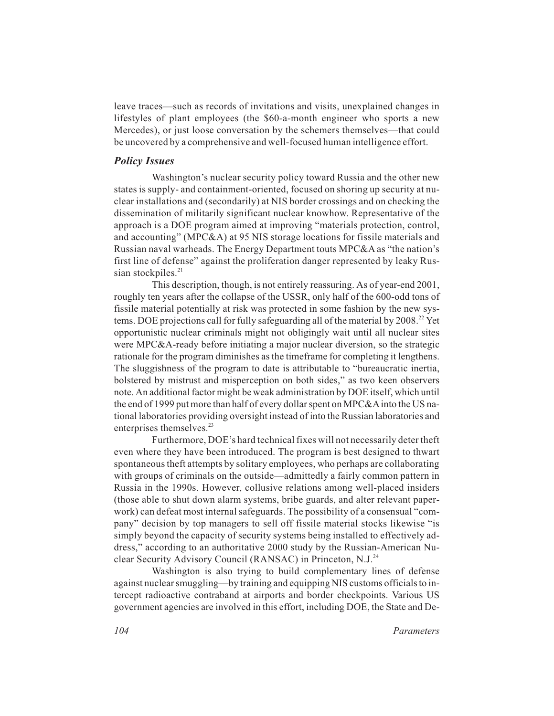leave traces—such as records of invitations and visits, unexplained changes in lifestyles of plant employees (the \$60-a-month engineer who sports a new Mercedes), or just loose conversation by the schemers themselves—that could be uncovered by a comprehensive and well-focused human intelligence effort.

#### *Policy Issues*

Washington's nuclear security policy toward Russia and the other new states is supply- and containment-oriented, focused on shoring up security at nuclear installations and (secondarily) at NIS border crossings and on checking the dissemination of militarily significant nuclear knowhow. Representative of the approach is a DOE program aimed at improving "materials protection, control, and accounting" (MPC&A) at 95 NIS storage locations for fissile materials and Russian naval warheads. The Energy Department touts MPC&A as "the nation's first line of defense" against the proliferation danger represented by leaky Russian stockpiles. $21$ 

This description, though, is not entirely reassuring. As of year-end 2001, roughly ten years after the collapse of the USSR, only half of the 600-odd tons of fissile material potentially at risk was protected in some fashion by the new systems. DOE projections call for fully safeguarding all of the material by  $2008<sup>22</sup>$  Yet opportunistic nuclear criminals might not obligingly wait until all nuclear sites were MPC&A-ready before initiating a major nuclear diversion, so the strategic rationale for the program diminishes as the timeframe for completing it lengthens. The sluggishness of the program to date is attributable to "bureaucratic inertia, bolstered by mistrust and misperception on both sides," as two keen observers note. An additional factor might be weak administration by DOE itself, which until the end of 1999 put more than half of every dollar spent on MPC&A into the US national laboratories providing oversight instead of into the Russian laboratories and enterprises themselves.<sup>23</sup>

Furthermore, DOE's hard technical fixes will not necessarily deter theft even where they have been introduced. The program is best designed to thwart spontaneous theft attempts by solitary employees, who perhaps are collaborating with groups of criminals on the outside—admittedly a fairly common pattern in Russia in the 1990s. However, collusive relations among well-placed insiders (those able to shut down alarm systems, bribe guards, and alter relevant paperwork) can defeat most internal safeguards. The possibility of a consensual "company" decision by top managers to sell off fissile material stocks likewise "is simply beyond the capacity of security systems being installed to effectively address," according to an authoritative 2000 study by the Russian-American Nuclear Security Advisory Council (RANSAC) in Princeton, N.J.<sup>24</sup>

Washington is also trying to build complementary lines of defense against nuclear smuggling—by training and equipping NIS customs officials to intercept radioactive contraband at airports and border checkpoints. Various US government agencies are involved in this effort, including DOE, the State and De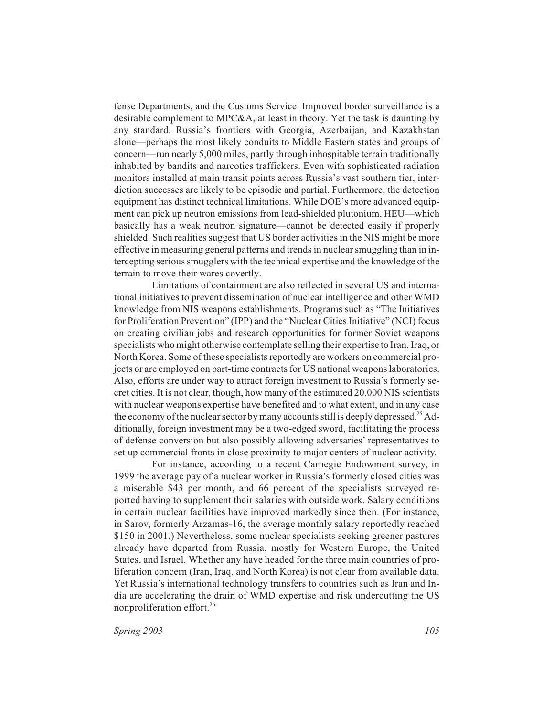fense Departments, and the Customs Service. Improved border surveillance is a desirable complement to MPC&A, at least in theory. Yet the task is daunting by any standard. Russia's frontiers with Georgia, Azerbaijan, and Kazakhstan alone—perhaps the most likely conduits to Middle Eastern states and groups of concern—run nearly 5,000 miles, partly through inhospitable terrain traditionally inhabited by bandits and narcotics traffickers. Even with sophisticated radiation monitors installed at main transit points across Russia's vast southern tier, interdiction successes are likely to be episodic and partial. Furthermore, the detection equipment has distinct technical limitations. While DOE's more advanced equipment can pick up neutron emissions from lead-shielded plutonium, HEU—which basically has a weak neutron signature—cannot be detected easily if properly shielded. Such realities suggest that US border activities in the NIS might be more effective in measuring general patterns and trends in nuclear smuggling than in intercepting serious smugglers with the technical expertise and the knowledge of the terrain to move their wares covertly.

Limitations of containment are also reflected in several US and international initiatives to prevent dissemination of nuclear intelligence and other WMD knowledge from NIS weapons establishments. Programs such as "The Initiatives for Proliferation Prevention" (IPP) and the "Nuclear Cities Initiative" (NCI) focus on creating civilian jobs and research opportunities for former Soviet weapons specialists who might otherwise contemplate selling their expertise to Iran, Iraq, or North Korea. Some of these specialists reportedly are workers on commercial projects or are employed on part-time contracts for US national weapons laboratories. Also, efforts are under way to attract foreign investment to Russia's formerly secret cities. It is not clear, though, how many of the estimated 20,000 NIS scientists with nuclear weapons expertise have benefited and to what extent, and in any case the economy of the nuclear sector by many accounts still is deeply depressed.<sup>25</sup> Additionally, foreign investment may be a two-edged sword, facilitating the process of defense conversion but also possibly allowing adversaries' representatives to set up commercial fronts in close proximity to major centers of nuclear activity.

For instance, according to a recent Carnegie Endowment survey, in 1999 the average pay of a nuclear worker in Russia's formerly closed cities was a miserable \$43 per month, and 66 percent of the specialists surveyed reported having to supplement their salaries with outside work. Salary conditions in certain nuclear facilities have improved markedly since then. (For instance, in Sarov, formerly Arzamas-16, the average monthly salary reportedly reached \$150 in 2001.) Nevertheless, some nuclear specialists seeking greener pastures already have departed from Russia, mostly for Western Europe, the United States, and Israel. Whether any have headed for the three main countries of proliferation concern (Iran, Iraq, and North Korea) is not clear from available data. Yet Russia's international technology transfers to countries such as Iran and India are accelerating the drain of WMD expertise and risk undercutting the US nonproliferation effort.<sup>26</sup>

*Spring 2003 105*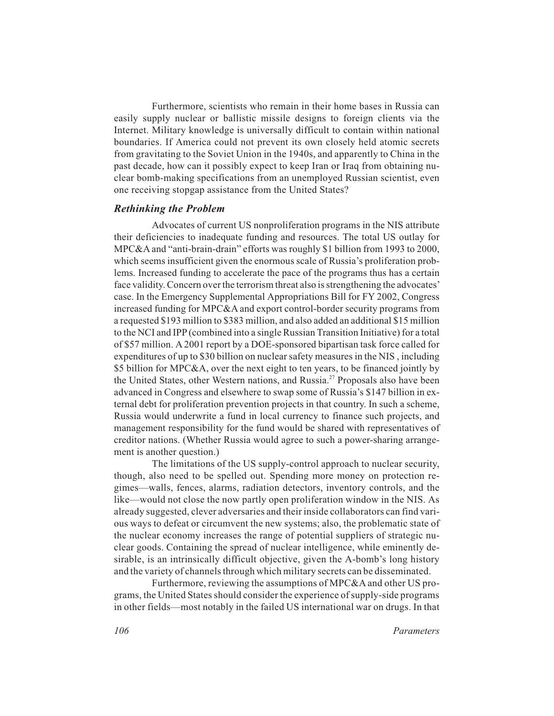Furthermore, scientists who remain in their home bases in Russia can easily supply nuclear or ballistic missile designs to foreign clients via the Internet. Military knowledge is universally difficult to contain within national boundaries. If America could not prevent its own closely held atomic secrets from gravitating to the Soviet Union in the 1940s, and apparently to China in the past decade, how can it possibly expect to keep Iran or Iraq from obtaining nuclear bomb-making specifications from an unemployed Russian scientist, even one receiving stopgap assistance from the United States?

#### *Rethinking the Problem*

Advocates of current US nonproliferation programs in the NIS attribute their deficiencies to inadequate funding and resources. The total US outlay for MPC&A and "anti-brain-drain" efforts was roughly \$1 billion from 1993 to 2000, which seems insufficient given the enormous scale of Russia's proliferation problems. Increased funding to accelerate the pace of the programs thus has a certain face validity. Concern over the terrorism threat also is strengthening the advocates' case. In the Emergency Supplemental Appropriations Bill for FY 2002, Congress increased funding for MPC&A and export control-border security programs from a requested \$193 million to \$383 million, and also added an additional \$15 million to the NCI and IPP (combined into a single Russian Transition Initiative) for a total of \$57 million. A 2001 report by a DOE-sponsored bipartisan task force called for expenditures of up to \$30 billion on nuclear safety measures in the NIS , including \$5 billion for MPC&A, over the next eight to ten years, to be financed jointly by the United States, other Western nations, and Russia.<sup>27</sup> Proposals also have been advanced in Congress and elsewhere to swap some of Russia's \$147 billion in external debt for proliferation prevention projects in that country. In such a scheme, Russia would underwrite a fund in local currency to finance such projects, and management responsibility for the fund would be shared with representatives of creditor nations. (Whether Russia would agree to such a power-sharing arrangement is another question.)

The limitations of the US supply-control approach to nuclear security, though, also need to be spelled out. Spending more money on protection regimes—walls, fences, alarms, radiation detectors, inventory controls, and the like—would not close the now partly open proliferation window in the NIS. As already suggested, clever adversaries and their inside collaborators can find various ways to defeat or circumvent the new systems; also, the problematic state of the nuclear economy increases the range of potential suppliers of strategic nuclear goods. Containing the spread of nuclear intelligence, while eminently desirable, is an intrinsically difficult objective, given the A-bomb's long history and the variety of channels through which military secrets can be disseminated.

Furthermore, reviewing the assumptions of MPC&A and other US programs, the United States should consider the experience of supply-side programs in other fields—most notably in the failed US international war on drugs. In that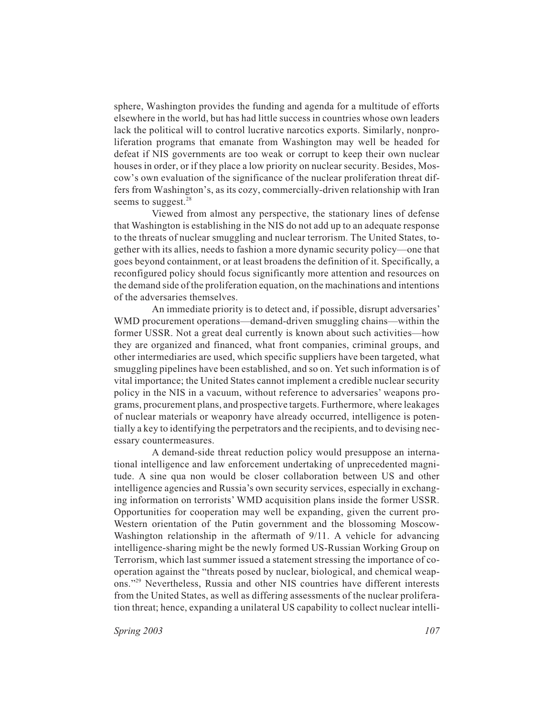sphere, Washington provides the funding and agenda for a multitude of efforts elsewhere in the world, but has had little success in countries whose own leaders lack the political will to control lucrative narcotics exports. Similarly, nonproliferation programs that emanate from Washington may well be headed for defeat if NIS governments are too weak or corrupt to keep their own nuclear houses in order, or if they place a low priority on nuclear security. Besides, Moscow's own evaluation of the significance of the nuclear proliferation threat differs from Washington's, as its cozy, commercially-driven relationship with Iran seems to suggest. $^{28}$ 

Viewed from almost any perspective, the stationary lines of defense that Washington is establishing in the NIS do not add up to an adequate response to the threats of nuclear smuggling and nuclear terrorism. The United States, together with its allies, needs to fashion a more dynamic security policy—one that goes beyond containment, or at least broadens the definition of it. Specifically, a reconfigured policy should focus significantly more attention and resources on the demand side of the proliferation equation, on the machinations and intentions of the adversaries themselves.

An immediate priority is to detect and, if possible, disrupt adversaries' WMD procurement operations—demand-driven smuggling chains—within the former USSR. Not a great deal currently is known about such activities—how they are organized and financed, what front companies, criminal groups, and other intermediaries are used, which specific suppliers have been targeted, what smuggling pipelines have been established, and so on. Yet such information is of vital importance; the United States cannot implement a credible nuclear security policy in the NIS in a vacuum, without reference to adversaries' weapons programs, procurement plans, and prospective targets. Furthermore, where leakages of nuclear materials or weaponry have already occurred, intelligence is potentially a key to identifying the perpetrators and the recipients, and to devising necessary countermeasures.

A demand-side threat reduction policy would presuppose an international intelligence and law enforcement undertaking of unprecedented magnitude. A sine qua non would be closer collaboration between US and other intelligence agencies and Russia's own security services, especially in exchanging information on terrorists' WMD acquisition plans inside the former USSR. Opportunities for cooperation may well be expanding, given the current pro-Western orientation of the Putin government and the blossoming Moscow-Washington relationship in the aftermath of 9/11. A vehicle for advancing intelligence-sharing might be the newly formed US-Russian Working Group on Terrorism, which last summer issued a statement stressing the importance of cooperation against the "threats posed by nuclear, biological, and chemical weapons."29 Nevertheless, Russia and other NIS countries have different interests from the United States, as well as differing assessments of the nuclear proliferation threat; hence, expanding a unilateral US capability to collect nuclear intelli-

*Spring 2003 107*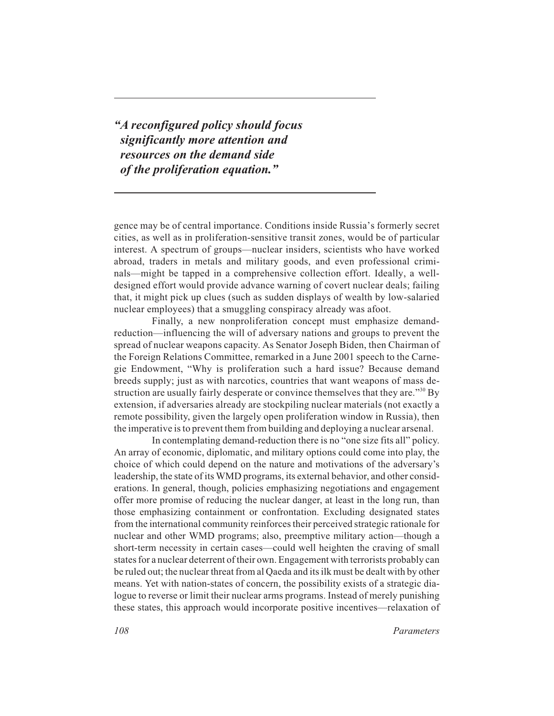*"A reconfigured policy should focus significantly more attention and resources on the demand side of the proliferation equation."*

gence may be of central importance. Conditions inside Russia's formerly secret cities, as well as in proliferation-sensitive transit zones, would be of particular interest. A spectrum of groups—nuclear insiders, scientists who have worked abroad, traders in metals and military goods, and even professional criminals—might be tapped in a comprehensive collection effort. Ideally, a welldesigned effort would provide advance warning of covert nuclear deals; failing that, it might pick up clues (such as sudden displays of wealth by low-salaried nuclear employees) that a smuggling conspiracy already was afoot.

Finally, a new nonproliferation concept must emphasize demandreduction—influencing the will of adversary nations and groups to prevent the spread of nuclear weapons capacity. As Senator Joseph Biden, then Chairman of the Foreign Relations Committee, remarked in a June 2001 speech to the Carnegie Endowment, "Why is proliferation such a hard issue? Because demand breeds supply; just as with narcotics, countries that want weapons of mass destruction are usually fairly desperate or convince themselves that they are."<sup>30</sup> By extension, if adversaries already are stockpiling nuclear materials (not exactly a remote possibility, given the largely open proliferation window in Russia), then the imperative is to prevent them from building and deploying a nuclear arsenal.

In contemplating demand-reduction there is no "one size fits all" policy. An array of economic, diplomatic, and military options could come into play, the choice of which could depend on the nature and motivations of the adversary's leadership, the state of its WMD programs, its external behavior, and other considerations. In general, though, policies emphasizing negotiations and engagement offer more promise of reducing the nuclear danger, at least in the long run, than those emphasizing containment or confrontation. Excluding designated states from the international community reinforces their perceived strategic rationale for nuclear and other WMD programs; also, preemptive military action—though a short-term necessity in certain cases—could well heighten the craving of small states for a nuclear deterrent of their own. Engagement with terrorists probably can be ruled out; the nuclear threat from al Qaeda and its ilk must be dealt with by other means. Yet with nation-states of concern, the possibility exists of a strategic dialogue to reverse or limit their nuclear arms programs. Instead of merely punishing these states, this approach would incorporate positive incentives—relaxation of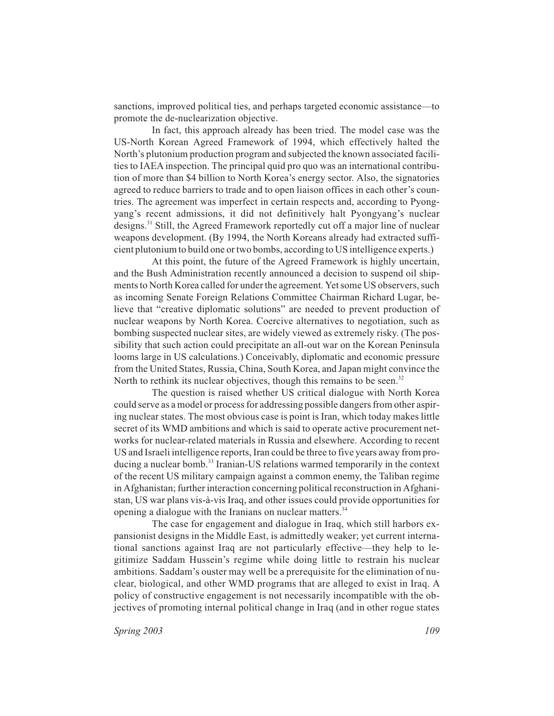sanctions, improved political ties, and perhaps targeted economic assistance—to promote the de-nuclearization objective.

In fact, this approach already has been tried. The model case was the US-North Korean Agreed Framework of 1994, which effectively halted the North's plutonium production program and subjected the known associated facilities to IAEA inspection. The principal quid pro quo was an international contribution of more than \$4 billion to North Korea's energy sector. Also, the signatories agreed to reduce barriers to trade and to open liaison offices in each other's countries. The agreement was imperfect in certain respects and, according to Pyongyang's recent admissions, it did not definitively halt Pyongyang's nuclear designs.31 Still, the Agreed Framework reportedly cut off a major line of nuclear weapons development. (By 1994, the North Koreans already had extracted sufficient plutonium to build one or two bombs, according to US intelligence experts.)

At this point, the future of the Agreed Framework is highly uncertain, and the Bush Administration recently announced a decision to suspend oil shipments to North Korea called for under the agreement. Yet some US observers, such as incoming Senate Foreign Relations Committee Chairman Richard Lugar, believe that "creative diplomatic solutions" are needed to prevent production of nuclear weapons by North Korea. Coercive alternatives to negotiation, such as bombing suspected nuclear sites, are widely viewed as extremely risky. (The possibility that such action could precipitate an all-out war on the Korean Peninsula looms large in US calculations.) Conceivably, diplomatic and economic pressure from the United States, Russia, China, South Korea, and Japan might convince the North to rethink its nuclear objectives, though this remains to be seen.<sup>32</sup>

The question is raised whether US critical dialogue with North Korea could serve as a model or process for addressing possible dangers from other aspiring nuclear states. The most obvious case is point is Iran, which today makes little secret of its WMD ambitions and which is said to operate active procurement networks for nuclear-related materials in Russia and elsewhere. According to recent US and Israeli intelligence reports, Iran could be three to five years away from producing a nuclear bomb.<sup>33</sup> Iranian-US relations warmed temporarily in the context of the recent US military campaign against a common enemy, the Taliban regime in Afghanistan; further interaction concerning political reconstruction in Afghanistan, US war plans vis-à-vis Iraq, and other issues could provide opportunities for opening a dialogue with the Iranians on nuclear matters.<sup>34</sup>

The case for engagement and dialogue in Iraq, which still harbors expansionist designs in the Middle East, is admittedly weaker; yet current international sanctions against Iraq are not particularly effective—they help to legitimize Saddam Hussein's regime while doing little to restrain his nuclear ambitions. Saddam's ouster may well be a prerequisite for the elimination of nuclear, biological, and other WMD programs that are alleged to exist in Iraq. A policy of constructive engagement is not necessarily incompatible with the objectives of promoting internal political change in Iraq (and in other rogue states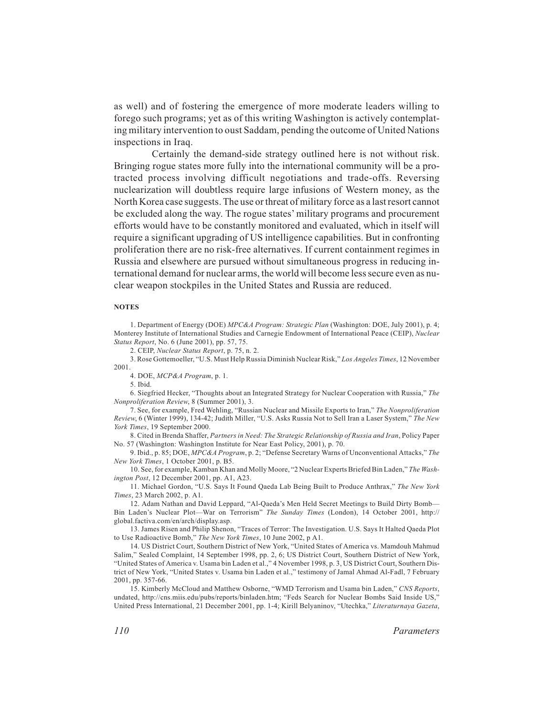as well) and of fostering the emergence of more moderate leaders willing to forego such programs; yet as of this writing Washington is actively contemplating military intervention to oust Saddam, pending the outcome of United Nations inspections in Iraq.

Certainly the demand-side strategy outlined here is not without risk. Bringing rogue states more fully into the international community will be a protracted process involving difficult negotiations and trade-offs. Reversing nuclearization will doubtless require large infusions of Western money, as the North Korea case suggests. The use or threat of military force as a last resort cannot be excluded along the way. The rogue states' military programs and procurement efforts would have to be constantly monitored and evaluated, which in itself will require a significant upgrading of US intelligence capabilities. But in confronting proliferation there are no risk-free alternatives. If current containment regimes in Russia and elsewhere are pursued without simultaneous progress in reducing international demand for nuclear arms, the world will become less secure even as nuclear weapon stockpiles in the United States and Russia are reduced.

#### **NOTES**

1. Department of Energy (DOE) *MPC&A Program: Strategic Plan* (Washington: DOE, July 2001), p. 4; Monterey Institute of International Studies and Carnegie Endowment of International Peace (CEIP), *Nuclear Status Report*, No. 6 (June 2001), pp. 57, 75.

2. CEIP, *Nuclear Status Report*, p. 75, n. 2.

3. Rose Gottemoeller, "U.S. Must Help Russia Diminish Nuclear Risk," *Los Angeles Times*, 12 November 2001.

4. DOE, *MCP&A Program*, p. 1.

5. Ibid.

6. Siegfried Hecker, "Thoughts about an Integrated Strategy for Nuclear Cooperation with Russia," *The Nonproliferation Review*, 8 (Summer 2001), 3.

7. See, for example, Fred Wehling, "Russian Nuclear and Missile Exports to Iran," *The Nonproliferation Review*, 6 (Winter 1999), 134-42; Judith Miller, "U.S. Asks Russia Not to Sell Iran a Laser System," *The New York Times*, 19 September 2000.

8. Cited in Brenda Shaffer, *Partners in Need: The Strategic Relationship of Russia and Iran*, Policy Paper No. 57 (Washington: Washington Institute for Near East Policy, 2001), p. 70.

9. Ibid., p. 85; DOE, *MPC&A Program*, p. 2; "Defense Secretary Warns of Unconventional Attacks," *The New York Times*, 1 October 2001, p. B5.

10. See, for example, Kamban Khan and Molly Moore, "2 Nuclear Experts Briefed Bin Laden," *The Washington Post*, 12 December 2001, pp. A1, A23.

11. Michael Gordon, "U.S. Says It Found Qaeda Lab Being Built to Produce Anthrax," *The New York Times*, 23 March 2002, p. A1.

12. Adam Nathan and David Leppard, "Al-Qaeda's Men Held Secret Meetings to Build Dirty Bomb— Bin Laden's Nuclear Plot—War on Terrorism" *The Sunday Times* (London), 14 October 2001, http:// global.factiva.com/en/arch/display.asp.

13. James Risen and Philip Shenon, "Traces of Terror: The Investigation. U.S. Says It Halted Qaeda Plot to Use Radioactive Bomb," *The New York Times*, 10 June 2002, p A1.

14. US District Court, Southern District of New York, "United States of America vs. Mamdouh Mahmud Salim," Sealed Complaint, 14 September 1998, pp. 2, 6; US District Court, Southern District of New York, "United States of America v. Usama bin Laden et al.," 4 November 1998, p. 3, US District Court, Southern District of New York, "United States v. Usama bin Laden et al.," testimony of Jamal Ahmad Al-Fadl, 7 February 2001, pp. 357-66.

15. Kimberly McCloud and Matthew Osborne, "WMD Terrorism and Usama bin Laden," *CNS Reports*, undated, http://cns.miis.edu/pubs/reports/binladen.htm; "Feds Search for Nuclear Bombs Said Inside US," United Press International, 21 December 2001, pp. 1-4; Kirill Belyaninov, "Utechka," *Literaturnaya Gazeta*,